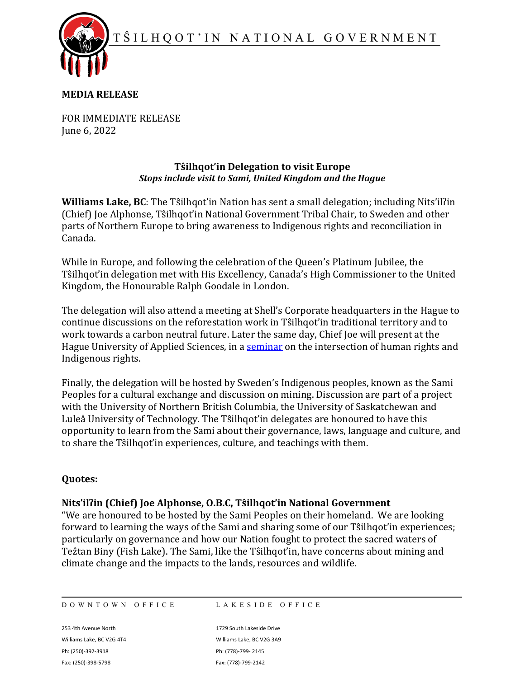T Ŝ ILHQOT ' IN NATIONAL GOVERNMENT



## **MEDIA RELEASE**

FOR IMMEDIATE RELEASE June 6, 2022

## **Tŝilhqot'in Delegation to visit Europe** *Stops include visit to Sami, United Kingdom and the Hague*

**Williams Lake, BC**: The Tŝilhqot'in Nation has sent a small delegation; including Nits'ilʔin (Chief) Joe Alphonse, Tŝilhqot'in National Government Tribal Chair, to Sweden and other parts of Northern Europe to bring awareness to Indigenous rights and reconciliation in Canada.

While in Europe, and following the celebration of the Queen's Platinum Jubilee, the Tŝilhqot'in delegation met with His Excellency, Canada's High Commissioner to the United Kingdom, the Honourable Ralph Goodale in London.

The delegation will also attend a meeting at Shell's Corporate headquarters in the Hague to continue discussions on the reforestation work in Tŝilhqot'in traditional territory and to work towards a carbon neutral future. Later the same day, Chief Joe will present at the Hague University of Applied Sciences, in a [seminar](https://www.thehagueuniversity.com/about-thuas/thuas-today/events-and-activities/details/2022/06/09/default-calendar/seminar---the-dark-side-of-universality-the-indigenous-story) on the intersection of human rights and Indigenous rights.

Finally, the delegation will be hosted by Sweden's Indigenous peoples, known as the Sami Peoples for a cultural exchange and discussion on mining. Discussion are part of a project with the University of Northern British Columbia, the University of Saskatchewan and Luleå University of Technology. The Tŝilhqot'in delegates are honoured to have this opportunity to learn from the Sami about their governance, laws, language and culture, and to share the Tŝilhqot'in experiences, culture, and teachings with them.

## **Quotes:**

## **Nits'ilʔin (Chief) Joe Alphonse, O.B.C, Tŝilhqot'in National Government**

"We are honoured to be hosted by the Sami Peoples on their homeland. We are looking forward to learning the ways of the Sami and sharing some of our Tŝilhqot'in experiences; particularly on governance and how our Nation fought to protect the sacred waters of Te 2tan Biny (Fish Lake). The Sami, like the Tŝilhqot'in, have concerns about mining and climate change and the impacts to the lands, resources and wildlife.

DOWNTOWN OFFICE LAKESIDE OFFICE

253 4th Avenue North 1729 South Lakeside Drive Williams Lake, BC V2G 4T4 Williams Lake, BC V2G 3A9 Ph: (250)-392-3918 Ph: (778)-799- 2145 Fax: (250)-398-5798 Fax: (778)-799-2142